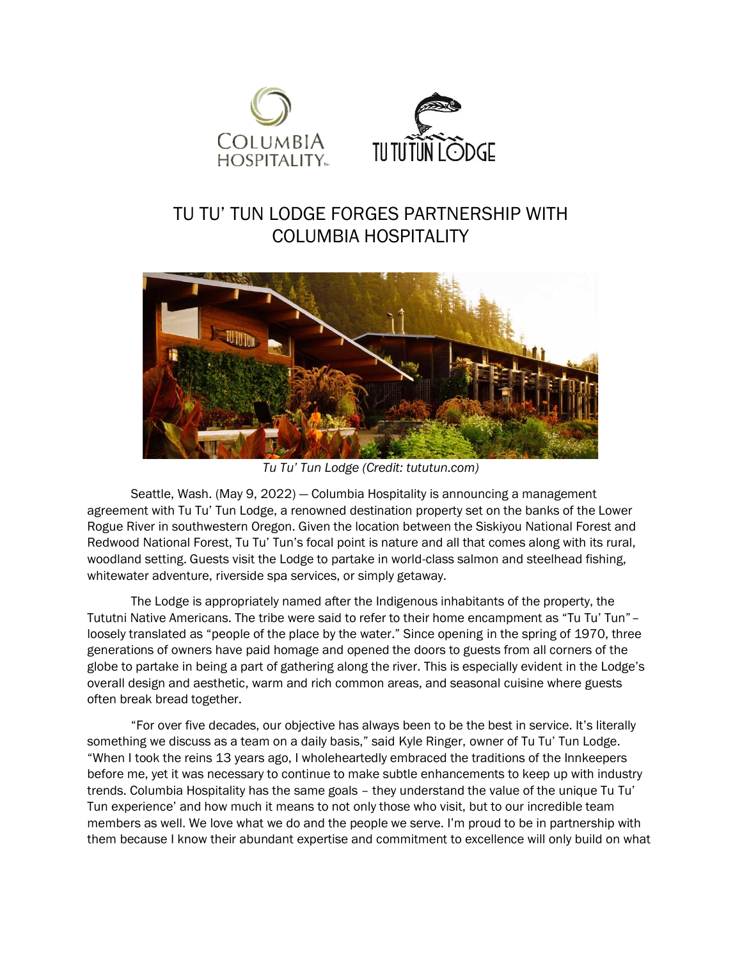

## TU TU' TUN LODGE FORGES PARTNERSHIP WITH COLUMBIA HOSPITALITY



*Tu Tu' Tun Lodge (Credit: tututun.com)*

Seattle, Wash. (May 9, 2022) — Columbia Hospitality is announcing a management agreement with Tu Tu' Tun Lodge, a renowned destination property set on the banks of the Lower Rogue River in southwestern Oregon. Given the location between the Siskiyou National Forest and Redwood National Forest, Tu Tu' Tun's focal point is nature and all that comes along with its rural, woodland setting. Guests visit the Lodge to partake in world-class salmon and steelhead fishing, whitewater adventure, riverside spa services, or simply getaway.

The Lodge is appropriately named after the Indigenous inhabitants of the property, the Tututni Native Americans. The tribe were said to refer to their home encampment as "Tu Tu' Tun"– loosely translated as "people of the place by the water." Since opening in the spring of 1970, three generations of owners have paid homage and opened the doors to guests from all corners of the globe to partake in being a part of gathering along the river. This is especially evident in the Lodge's overall design and aesthetic, warm and rich common areas, and seasonal cuisine where guests often break bread together.

"For over five decades, our objective has always been to be the best in service. It's literally something we discuss as a team on a daily basis," said Kyle Ringer, owner of Tu Tu' Tun Lodge. "When I took the reins 13 years ago, I wholeheartedly embraced the traditions of the Innkeepers before me, yet it was necessary to continue to make subtle enhancements to keep up with industry trends. Columbia Hospitality has the same goals – they understand the value of the unique Tu Tu' Tun experience' and how much it means to not only those who visit, but to our incredible team members as well. We love what we do and the people we serve. I'm proud to be in partnership with them because I know their abundant expertise and commitment to excellence will only build on what